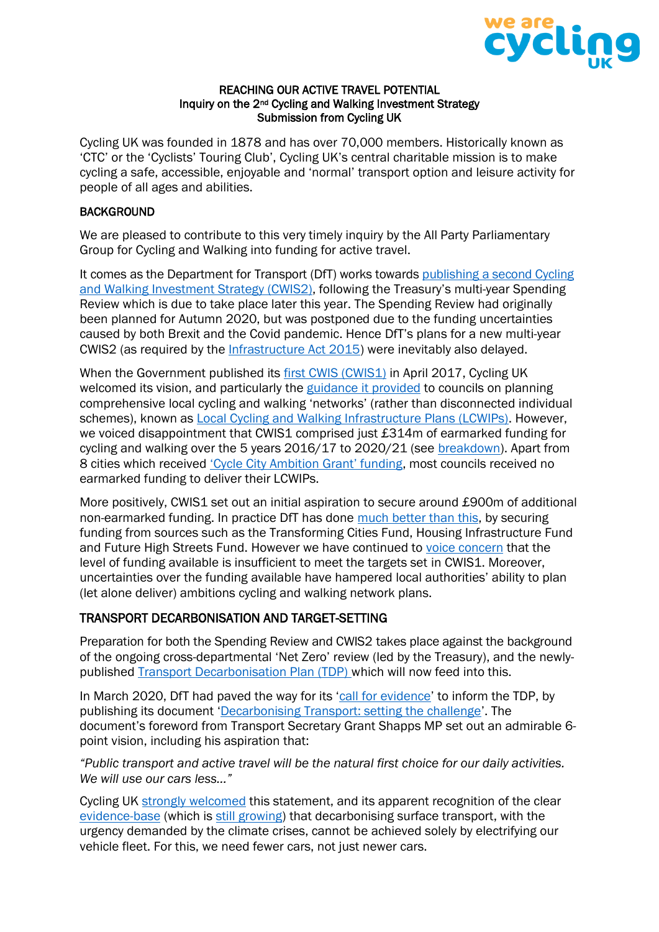

#### REACHING OUR ACTIVE TRAVEL POTENTIAL Inquiry on the 2nd Cycling and Walking Investment Strategy Submission from Cycling UK

Cycling UK was founded in 1878 and has over 70,000 members. Historically known as 'CTC' or the 'Cyclists' Touring Club', Cycling UK's central charitable mission is to make cycling a safe, accessible, enjoyable and 'normal' transport option and leisure activity for people of all ages and abilities.

#### **BACKGROUND**

We are pleased to contribute to this very timely inquiry by the All Party Parliamentary Group for Cycling and Walking into funding for active travel.

It comes as the Department for Transport (DfT) works towards publishing a second Cycling [and Walking Investment Strategy \(CWIS2\),](https://hansard.parliament.uk/commons/2021-03-25/debates/21032530000026/CyclingAndWalkingInvestmentStrategy2) following the Treasury's multi-year Spending Review which is due to take place later this year. The Spending Review had originally been planned for Autumn 2020, but was postponed due to the funding uncertainties caused by both Brexit and the Covid pandemic. Hence DfT's plans for a new multi-year CWIS2 (as required by the [Infrastructure Act 2015\)](https://www.legislation.gov.uk/ukpga/2015/7/part/2) were inevitably also delayed.

When the Government published its [first CWIS \(CWIS1\)](https://www.gov.uk/government/publications/cycling-and-walking-investment-strategy#:~:text=Following%20a%20public%20consultation%2C%20the,towards%20in%20the%20shorter%20term) in April 2017, Cycling UK welcomed its vision, and particularly the [guidance it provided](https://assets.publishing.service.gov.uk/government/uploads/system/uploads/attachment_data/file/908535/cycling-walking-infrastructure-technical-guidance-document.pdf) to councils on planning comprehensive local cycling and walking 'networks' (rather than disconnected individual schemes), known as [Local Cycling and Walking Infrastructure Plans \(LCWIPs\).](https://www.gov.uk/government/publications/local-cycling-and-walking-infrastructure-plans-technical-guidance-and-tools) However, we voiced disappointment that CWIS1 comprised just £314m of earmarked funding for cycling and walking over the 5 years 2016/17 to 2020/21 (see [breakdown\)](https://www.cyclinguk.org/blog/rebalance-transport-spending-invest-more-cycling-walking-and-safer-streets-why-wouldnt-you-0). Apart from 8 cities which received ['Cycle City Ambition Grant' funding](https://www.gov.uk/government/news/multimillion-pound-government-funding-boost-for-cycle-safety), most councils received no earmarked funding to deliver their LCWIPs.

More positively, CWIS1 set out an initial aspiration to secure around £900m of additional non-earmarked funding. In practice DfT has done much [better than this,](https://assets.publishing.service.gov.uk/government/uploads/system/uploads/attachment_data/file/863723/cycling-and-walking-investment-strategy-report-to-parliament.pdf) by securing funding from sources such as the Transforming Cities Fund, Housing Infrastructure Fund and Future High Streets Fund. However we have continued to [voice concern](https://www.cyclinguk.org/press-release/government-hiding-evidence-parliament-suppressing-cycle-funding-report) that the level of funding available is insufficient to meet the targets set in CWIS1. Moreover, uncertainties over the funding available have hampered local authorities' ability to plan (let alone deliver) ambitions cycling and walking network plans.

## TRANSPORT DECARBONISATION AND TARGET-SETTING

Preparation for both the Spending Review and CWIS2 takes place against the background of the ongoing cross-departmental 'Net Zero' review (led by the Treasury), and the newlypublished [Transport Decarbonisation Plan \(TDP\)](https://www.gov.uk/government/publications/creating-the-transport-decarbonisation-plan) which will now feed into this.

In March 2020, DfT had paved the way for its '[call for evidence](https://www.gov.uk/government/consultations/creating-a-plan-to-decarbonise-transport-call-for-ideas)' to inform the TDP, by publishing its document '[Decarbonising Transport: setting the challenge](https://assets.publishing.service.gov.uk/government/uploads/system/uploads/attachment_data/file/878642/decarbonising-transport-setting-the-challenge.pdf)'. The document's foreword from Transport Secretary Grant Shapps MP set out an admirable 6 point vision, including his aspiration that:

*"Public transport and active travel will be the natural first choice for our daily activities. We will use our cars less…"*

Cycling UK [strongly welcomed](https://www.bbc.co.uk/news/science-environment-52064509) this statement, and its apparent recognition of the clear [evidence-base](https://policy.friendsoftheearth.uk/insight/more-electric-cars) (which is [still growing\)](https://www.ippr.org/news-and-media/press-releases/shifting-to-electric-vehicles-isn-t-enough-public-transport-walking-and-cycling-need-greater-role-in-uk-s-future-says-ippr) that decarbonising surface transport, with the urgency demanded by the climate crises, cannot be achieved solely by electrifying our vehicle fleet. For this, we need fewer cars, not just newer cars.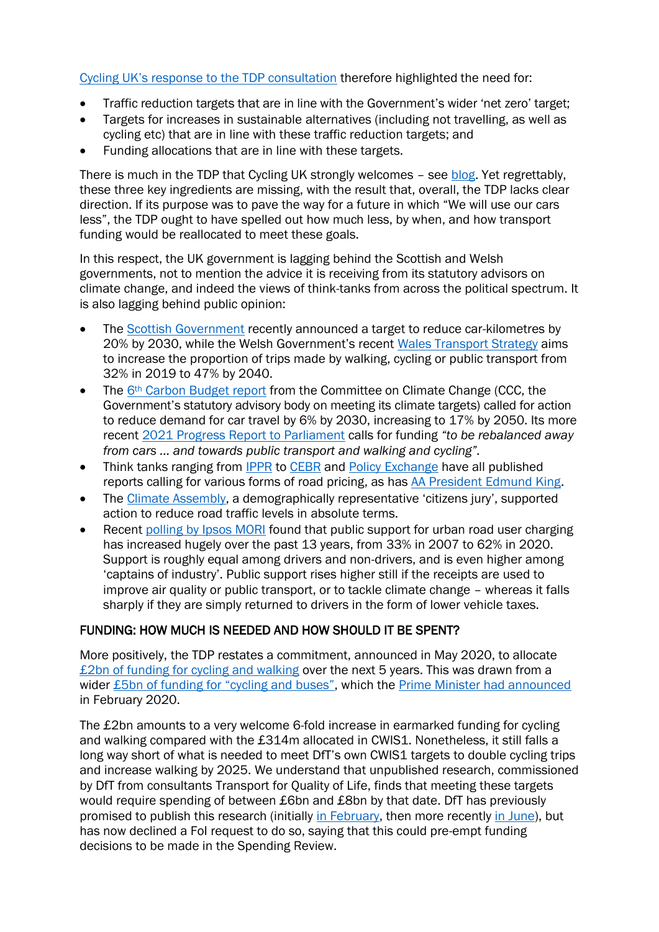[Cycling UK's response to](https://www.cyclinguk.org/blog/decarbonising-transport-being-led-science) the TDP consultation therefore highlighted the need for:

- Traffic reduction targets that are in line with the Government's wider 'net zero' target;
- Targets for increases in sustainable alternatives (including not travelling, as well as cycling etc) that are in line with these traffic reduction targets; and
- Funding allocations that are in line with these targets.

There is much in the TDP that Cycling UK strongly welcomes - see [blog.](https://www.cyclinguk.org/article/it-transport-decarbonisation-plan-or-just-plan-electric-traffic-jams) Yet regrettably, these three key ingredients are missing, with the result that, overall, the TDP lacks clear direction. If its purpose was to pave the way for a future in which "We will use our cars less", the TDP ought to have spelled out how much less, by when, and how transport funding would be reallocated to meet these goals.

In this respect, the UK government is lagging behind the Scottish and Welsh governments, not to mention the advice it is receiving from its statutory advisors on climate change, and indeed the views of think-tanks from across the political spectrum. It is also lagging behind public opinion:

- The [Scottish Government](https://www.gov.scot/publications/securing-green-recovery-path-net-zero-update-climate-change-plan-20182032/pages/9/) recently announced a target to reduce car-kilometres by 20% by 2030, while the Welsh Government's recent [Wales Transport Strategy](https://gov.wales/sites/default/files/publications/2021-03/llwybr-newydd-wales-transport-strategy-2021-full-strategy_0.pdf) aims to increase the proportion of trips made by walking, cycling or public transport from 32% in 2019 to 47% by 2040.
- The 6<sup>th</sup> [Carbon Budget report](https://www.theccc.org.uk/wp-content/uploads/2020/12/Sector-summary-Surface-transport.pdf) from the Committee on Climate Change (CCC, the Government's statutory advisory body on meeting its climate targets) called for action to reduce demand for car travel by 6% by 2030, increasing to 17% by 2050. Its more recent [2021 Progress Report to Parliament](https://www.theccc.org.uk/wp-content/uploads/2021/06/Progress-in-reducing-emissions-2021-Report-to-Parliament.pdf) calls for funding *"to be rebalanced away from cars … and towards public transport and walking and cycling".*
- Think tanks ranging from [IPPR](https://www.ippr.org/files/2021-06/all-aboard-june21.pdf) to [CEBR](https://cebr.com/reports/the-future-of-road-transport-abolishing-traffic-jams/) and [Policy Exchange](https://policyexchange.org.uk/wp-content/uploads/2017/06/Emissions_v8-Summary.pdf) have all published reports calling for various forms of road pricing, as has [AA President Edmund King.](https://www.theguardian.com/money/2020/jun/03/aa-president-backs-road-pricing-scheme)
- The [Climate Assembly,](https://www.climateassembly.uk/documents/85/Chapter_3.pdf) a demographically representative 'citizens jury', supported action to reduce road traffic levels in absolute terms.
- Recent [polling by Ipsos MORI](https://www.ipsos.com/ipsos-mori/en-uk/public-support-charging-motorists-use-roads-want-it-be-done-right-reasons) found that public support for urban road user charging has increased hugely over the past 13 years, from 33% in 2007 to 62% in 2020. Support is roughly equal among drivers and non-drivers, and is even higher among 'captains of industry'. Public support rises higher still if the receipts are used to improve air quality or public transport, or to tackle climate change – whereas it falls sharply if they are simply returned to drivers in the form of lower vehicle taxes.

# FUNDING: HOW MUCH IS NEEDED AND HOW SHOULD IT BE SPENT?

More positively, the TDP restates a commitment, announced in May 2020, to allocate [£2bn of funding for cycling and walking](https://www.gov.uk/government/news/multimillion-pound-government-funding-boost-for-cycle-safety) over the next 5 years. This was drawn from a wider [£5bn of funding for "cycling and buses"](https://www.gov.uk/government/news/major-boost-for-bus-services-as-pm-outlines-new-vision-for-local-transport), which the [Prime Minister had announced](https://www.gov.uk/government/speeches/pm-statement-on-transport-infrastructure-11-february-2020) in February 2020.

The £2bn amounts to a very welcome 6-fold increase in earmarked funding for cycling and walking compared with the £314m allocated in CWIS1. Nonetheless, it still falls a long way short of what is needed to meet DfT's own CWIS1 targets to double cycling trips and increase walking by 2025. We understand that unpublished research, commissioned by DfT from consultants Transport for Quality of Life, finds that meeting these targets would require spending of between £6bn and £8bn by that date. DfT has previously promised to publish this research (initially [in February,](https://questions-statements.parliament.uk/written-questions/detail/2020-01-30/10391) then more recently [in June\)](https://questions-statements.parliament.uk/written-questions/detail/2020-05-20/49717), but has now declined a FoI request to do so, saying that this could pre-empt funding decisions to be made in the Spending Review.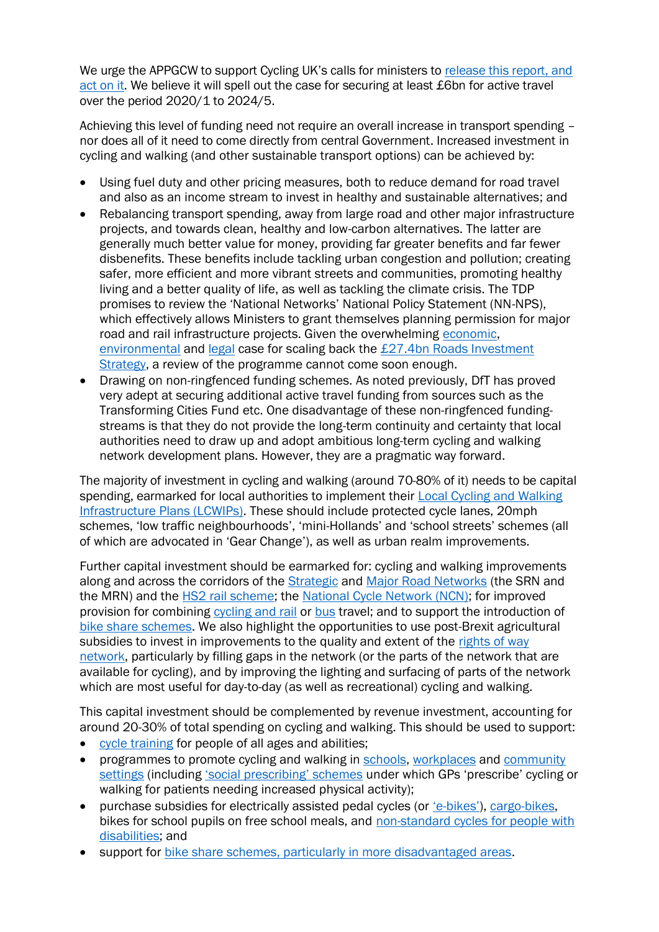We urge the APPGCW to support Cycling UK's calls for ministers to release this report, and [act on it.](https://www.cyclinguk.org/press-release/government-hiding-evidence-parliament-suppressing-cycle-funding-report) We believe it will spell out the case for securing at least £6bn for active travel over the period 2020/1 to 2024/5.

Achieving this level of funding need not require an overall increase in transport spending – nor does all of it need to come directly from central Government. Increased investment in cycling and walking (and other sustainable transport options) can be achieved by:

- Using fuel duty and other pricing measures, both to reduce demand for road travel and also as an income stream to invest in healthy and sustainable alternatives; and
- Rebalancing transport spending, away from large road and other major infrastructure projects, and towards clean, healthy and low-carbon alternatives. The latter are generally much better value for money, providing far greater benefits and far fewer disbenefits. These benefits include tackling urban congestion and pollution; creating safer, more efficient and more vibrant streets and communities, promoting healthy living and a better quality of life, as well as tackling the climate crisis. The TDP promises to review the 'National Networks' National Policy Statement (NN-NPS), which effectively allows Ministers to grant themselves planning permission for major road and rail infrastructure projects. Given the overwhelming [economic,](https://uwe-repository.worktribe.com/output/875133) [environmental](https://www.cpre.org.uk/wp-content/uploads/2019/11/TheZendZofZtheZroad.pdf) and [legal](https://transportactionnetwork.org.uk/campaign/legal-action/) case for scaling back the [£27.4bn Roads Investment](https://www.gov.uk/government/publications/road-investment-strategy-2-ris2-2020-to-2025)  [Strategy,](https://www.gov.uk/government/publications/road-investment-strategy-2-ris2-2020-to-2025) a review of the programme cannot come soon enough.
- Drawing on non-ringfenced funding schemes. As noted previously, DfT has proved very adept at securing additional active travel funding from sources such as the Transforming Cities Fund etc. One disadvantage of these non-ringfenced fundingstreams is that they do not provide the long-term continuity and certainty that local authorities need to draw up and adopt ambitious long-term cycling and walking network development plans. However, they are a pragmatic way forward.

The majority of investment in cycling and walking (around 70-80% of it) needs to be capital spending, earmarked for local authorities to implement their [Local Cycling and Walking](https://www.gov.uk/government/publications/local-cycling-and-walking-infrastructure-plans-technical-guidance-and-tools)  [Infrastructure Plans \(LCWIPs\).](https://www.gov.uk/government/publications/local-cycling-and-walking-infrastructure-plans-technical-guidance-and-tools) These should include protected cycle lanes, 20mph schemes, 'low traffic neighbourhoods', 'mini-Hollands' and 'school streets' schemes (all of which are advocated in 'Gear Change'), as well as urban realm improvements.

Further capital investment should be earmarked for: cycling and walking improvements along and across the corridors of the **Strategic and [Major Road Networks](https://www.gov.uk/government/publications/major-road-network-and-large-local-majors-programmes-investment-planning)** (the SRN and the MRN) and the **HS2 rail scheme**; the [National Cycle Network \(NCN\);](https://www.sustrans.org.uk/national-cycle-network) for improved provision for combining [cycling and rail](https://www.raildeliverygroup.com/media-centre-docman/archive/397-2016-04-cycle-rail-toolkit-2/file.html) or [bus](https://www.sportworks.com/products/transit-bike-racks) travel; and to support the introduction of [bike share schemes.](https://como.org.uk/shared-mobility/shared-bikes/what/) We also highlight the opportunities to use post-Brexit agricultural subsidies to invest in improvements to the quality and extent of the rights of way [network,](https://www.cyclinguk.org/current-campaigns/campaigns-past/get-my-land) particularly by filling gaps in the network (or the parts of the network that are available for cycling), and by improving the lighting and surfacing of parts of the network which are most useful for day-to-day (as well as recreational) cycling and walking.

This capital investment should be complemented by revenue investment, accounting for around 20-30% of total spending on cycling and walking. This should be used to support:

- [cycle training](https://www.cyclinguk.org/campaigning/views-and-briefings/cycle-training) for people of all ages and abilities;
- programmes to promote cycling and walking in [schools,](https://www.cyclinguk.org/campaigning/views-and-briefings/cycle-friendly-schools-and-colleges-ctc-views) [workplaces](https://www.cyclinguk.org/campaigning/views-and-briefings/cycle-friendly-employers-ctc-views) and community [settings](https://www.cyclinguk.org/community-cycle-clubs#:~:text=A%20Community%20Cycle%20Club%20is,enjoy%20being%20active%20by%20cycling.) (including ['social prescribing' schemes](https://www.cyclinguk.org/community-outreach/health) under which GPs 'prescribe' cycling or walking for patients needing increased physical activity);
- purchase subsidies for electrically assisted pedal cycles (or 'e-[bikes'](https://www.bicycleassociation.org.uk/news-press/e-bike-incentives-over-twice-as-effective-as-e-car-grants/)), [cargo-bikes,](https://ecf.com/sites/ecf.com/files/Factsheet-ITF2012-CLOG.pdf) bikes for school pupils on free school meals, and [non-standard cycles for people with](https://www.cyclinguk.org/article/cycling-guide/guide-to-adapted-cycles)  [disabilities;](https://www.cyclinguk.org/article/cycling-guide/guide-to-adapted-cycles) and
- support for bike share schemes, [particularly in more disadvantaged areas.](https://como.org.uk/project/bikes-for-all/)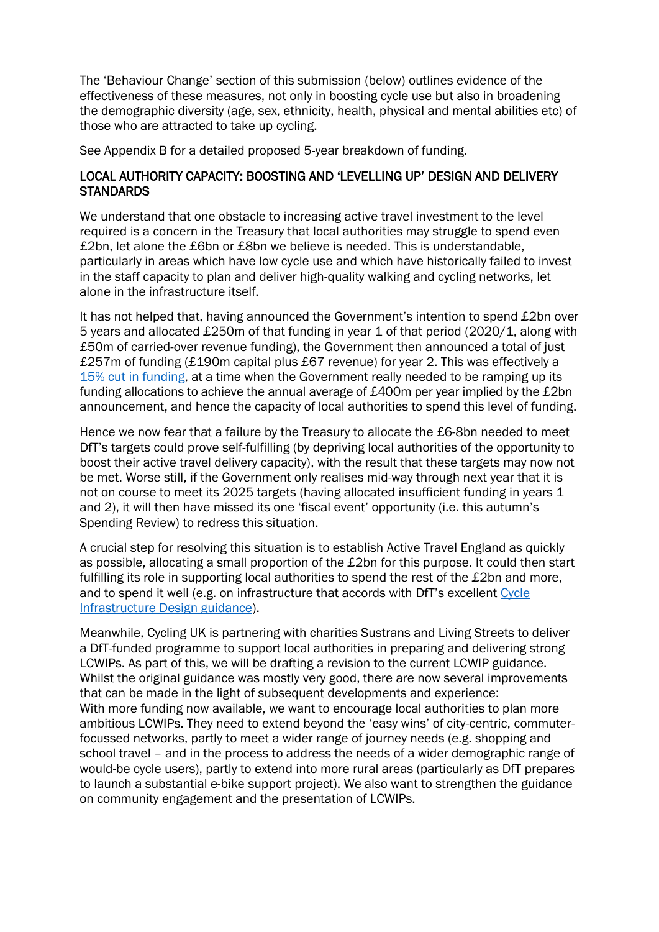The 'Behaviour Change' section of this submission (below) outlines evidence of the effectiveness of these measures, not only in boosting cycle use but also in broadening the demographic diversity (age, sex, ethnicity, health, physical and mental abilities etc) of those who are attracted to take up cycling.

See Appendix B for a detailed proposed 5-year breakdown of funding.

## LOCAL AUTHORITY CAPACITY: BOOSTING AND 'LEVELLING UP' DESIGN AND DELIVERY **STANDARDS**

We understand that one obstacle to increasing active travel investment to the level required is a concern in the Treasury that local authorities may struggle to spend even £2bn, let alone the £6bn or £8bn we believe is needed. This is understandable, particularly in areas which have low cycle use and which have historically failed to invest in the staff capacity to plan and deliver high-quality walking and cycling networks, let alone in the infrastructure itself.

It has not helped that, having announced the Government's intention to spend £2bn over 5 years and allocated £250m of that funding in year 1 of that period (2020/1, along with £50m of carried-over revenue funding), the Government then announced a total of just £257m of funding (£190m capital plus £67 revenue) for year 2. This was effectively a [15% cut in funding,](https://www.cyclinguk.org/blog/spending-review-sees-guaranteed-cycling-and-walking-budget-slashed-15) at a time when the Government really needed to be ramping up its funding allocations to achieve the annual average of £400m per year implied by the £2bn announcement, and hence the capacity of local authorities to spend this level of funding.

Hence we now fear that a failure by the Treasury to allocate the £6-8bn needed to meet DfT's targets could prove self-fulfilling (by depriving local authorities of the opportunity to boost their active travel delivery capacity), with the result that these targets may now not be met. Worse still, if the Government only realises mid-way through next year that it is not on course to meet its 2025 targets (having allocated insufficient funding in years 1 and 2), it will then have missed its one 'fiscal event' opportunity (i.e. this autumn's Spending Review) to redress this situation.

A crucial step for resolving this situation is to establish Active Travel England as quickly as possible, allocating a small proportion of the £2bn for this purpose. It could then start fulfilling its role in supporting local authorities to spend the rest of the £2bn and more, and to spend it well (e.g. on infrastructure that accords with DfT's excellent [Cycle](https://www.gov.uk/government/publications/cycle-infrastructure-design-ltn-120)  [Infrastructure Design guidance\)](https://www.gov.uk/government/publications/cycle-infrastructure-design-ltn-120).

Meanwhile, Cycling UK is partnering with charities Sustrans and Living Streets to deliver a DfT-funded programme to support local authorities in preparing and delivering strong LCWIPs. As part of this, we will be drafting a revision to the current LCWIP guidance. Whilst the original guidance was mostly very good, there are now several improvements that can be made in the light of subsequent developments and experience: With more funding now available, we want to encourage local authorities to plan more ambitious LCWIPs. They need to extend beyond the 'easy wins' of city-centric, commuterfocussed networks, partly to meet a wider range of journey needs (e.g. shopping and school travel – and in the process to address the needs of a wider demographic range of would-be cycle users), partly to extend into more rural areas (particularly as DfT prepares to launch a substantial e-bike support project). We also want to strengthen the guidance on community engagement and the presentation of LCWIPs.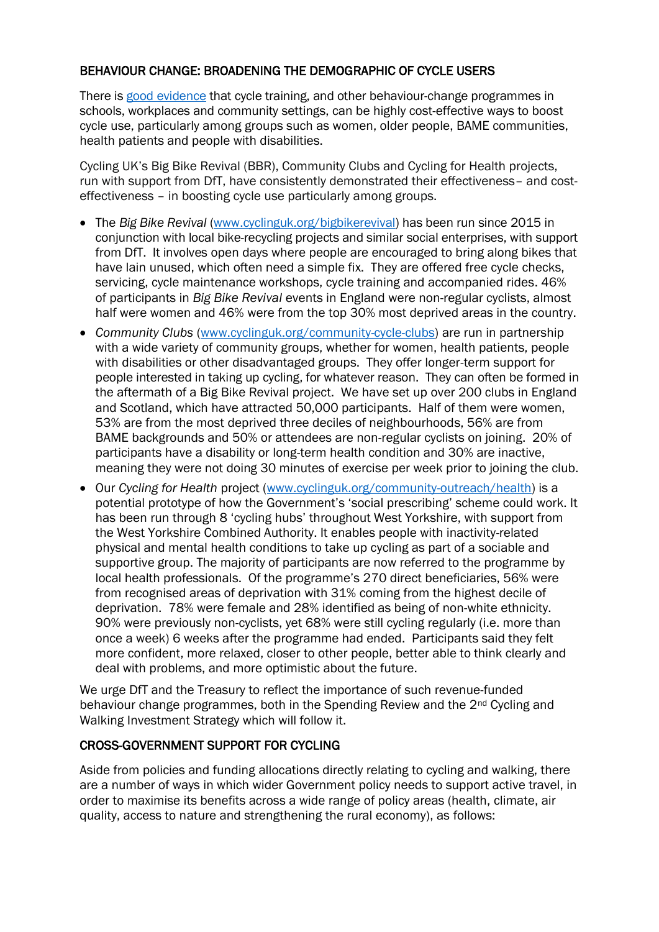## BEHAVIOUR CHANGE: BROADENING THE DEMOGRAPHIC OF CYCLE USERS

There is [good evidence](http://www.cyclinguk.org/sites/default/files/document/migrated/info/smarterchoices7abrf.pdf) that cycle training, and other behaviour-change programmes in schools, workplaces and community settings, can be highly cost-effective ways to boost cycle use, particularly among groups such as women, older people, BAME communities, health patients and people with disabilities.

Cycling UK's Big Bike Revival (BBR), Community Clubs and Cycling for Health projects, run with support from DfT, have consistently demonstrated their effectiveness– and costeffectiveness – in boosting cycle use particularly among groups.

- The *Big Bike Revival* [\(www.cyclinguk.org/bigbikerevival\)](http://www.cyclinguk.org/bigbikerevival) has been run since 2015 in conjunction with local bike-recycling projects and similar social enterprises, with support from DfT. It involves open days where people are encouraged to bring along bikes that have lain unused, which often need a simple fix. They are offered free cycle checks, servicing, cycle maintenance workshops, cycle training and accompanied rides. 46% of participants in *Big Bike Revival* events in England were non-regular cyclists, almost half were women and 46% were from the top 30% most deprived areas in the country.
- *Community Clubs* [\(www.cyclinguk.org/community-cycle-clubs\)](http://www.cyclinguk.org/community-cycle-clubs) are run in partnership with a wide variety of community groups, whether for women, health patients, people with disabilities or other disadvantaged groups. They offer longer-term support for people interested in taking up cycling, for whatever reason. They can often be formed in the aftermath of a Big Bike Revival project. We have set up over 200 clubs in England and Scotland, which have attracted 50,000 participants. Half of them were women, 53% are from the most deprived three deciles of neighbourhoods, 56% are from BAME backgrounds and 50% or attendees are non-regular cyclists on joining. 20% of participants have a disability or long-term health condition and 30% are inactive, meaning they were not doing 30 minutes of exercise per week prior to joining the club.
- Our *Cycling for Health* project [\(www.cyclinguk.org/community-outreach/health\)](http://www.cyclinguk.org/community-outreach/health) is a potential prototype of how the Government's 'social prescribing' scheme could work. It has been run through 8 'cycling hubs' throughout West Yorkshire, with support from the West Yorkshire Combined Authority. It enables people with inactivity-related physical and mental health conditions to take up cycling as part of a sociable and supportive group. The majority of participants are now referred to the programme by local health professionals. Of the programme's 270 direct beneficiaries, 56% were from recognised areas of deprivation with 31% coming from the highest decile of deprivation. 78% were female and 28% identified as being of non-white ethnicity. 90% were previously non-cyclists, yet 68% were still cycling regularly (i.e. more than once a week) 6 weeks after the programme had ended. Participants said they felt more confident, more relaxed, closer to other people, better able to think clearly and deal with problems, and more optimistic about the future.

We urge DfT and the Treasury to reflect the importance of such revenue-funded behaviour change programmes, both in the Spending Review and the 2nd Cycling and Walking Investment Strategy which will follow it.

## CROSS-GOVERNMENT SUPPORT FOR CYCLING

Aside from policies and funding allocations directly relating to cycling and walking, there are a number of ways in which wider Government policy needs to support active travel, in order to maximise its benefits across a wide range of policy areas (health, climate, air quality, access to nature and strengthening the rural economy), as follows: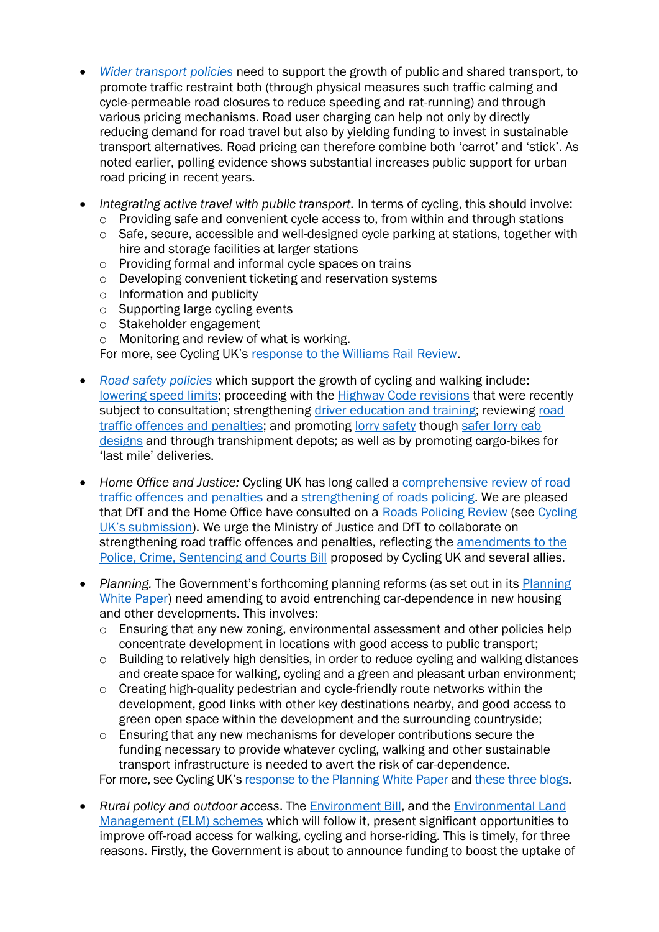- *[Wider transport policies](https://www.cyclinguk.org/campaigning/views-and-briefings/national-transport-policy-cycling)* need to support the growth of public and shared transport, to promote traffic restraint both (through physical measures such traffic calming and cycle-permeable road closures to reduce speeding and rat-running) and through various pricing mechanisms. Road user charging can help not only by directly reducing demand for road travel but also by yielding funding to invest in sustainable transport alternatives. Road pricing can therefore combine both 'carrot' and 'stick'. As noted earlier, polling evidence shows substantial increases public support for urban road pricing in recent years.
- *Integrating active travel with public transport.* In terms of cycling, this should involve:
	- o Providing safe and convenient cycle access to, from within and through stations
	- o Safe, secure, accessible and well-designed cycle parking at stations, together with hire and storage facilities at larger stations
	- o Providing formal and informal cycle spaces on trains
	- o Developing convenient ticketing and reservation systems
	- o Information and publicity
	- o Supporting large cycling events
	- o Stakeholder engagement
	- o Monitoring and review of what is working.

For more, see Cycling UK's [response to the Williams Rail Review.](https://www.cyclinguk.org/sites/default/files/document/2021/02/1905_rg_williams-review-phase2-response_con-final.pdf)

- *Road [safety policies](https://www.cyclinguk.org/sites/default/files/document/2018/04/1804_cyclinguk_cycle-safety-make-it-simple.pdf)* which support the growth of cycling and walking include: [lowering speed limits;](https://www.cyclinguk.org/campaign/20-mph-lower-speeds-better-streets) proceeding with the [Highway Code revisions](https://www.gov.uk/government/consultations/review-of-the-highway-code-to-improve-road-safety-for-cyclists-pedestrians-and-horse-riders) that were recently subject to consultation; strengthening [driver education and training;](https://www.cyclinguk.org/campaigning/views-and-briefings/driver-training-testing-licensing) reviewing road [traffic offences and penalties;](https://www.cyclinguk.org/article/why-should-government-review-road-traffic-offences-full) and promoting [lorry safety](https://www.cyclinguk.org/campaigning/views-and-briefings/goods-vehicles-lorries-hgvs-vans-etc) though [safer lorry cab](https://www.cyclinguk.org/campaigning/views-and-briefings/goods-vehicles-lorries-hgvs-vans-etc)  [designs](https://www.cyclinguk.org/campaigning/views-and-briefings/goods-vehicles-lorries-hgvs-vans-etc) and through transhipment depots; as well as by promoting cargo-bikes for 'last mile' deliveries.
- *Home Office and Justice:* Cycling UK has long called a [comprehensive review of road](https://www.cyclinguk.org/article/why-should-government-review-road-traffic-offences-full)  [traffic offences and penalties](https://www.cyclinguk.org/article/why-should-government-review-road-traffic-offences-full) and a [strengthening of roads policing.](https://www.cyclinguk.org/article/why-do-we-need-more-traffic-police) We are pleased that DfT and the Home Office have consulted on a [Roads Policing Review](https://www.gov.uk/government/consultations/roads-policing-review-future-methods-to-improve-safety-and-reduce-causalities/roads-policing-review-call-for-evidence) (see Cycling UK's [submission\)](https://www.cyclinguk.org/sites/default/files/document/2020/10/2010_rg_dft_roads-policing-review_con.pdf). We urge the Ministry of Justice and DfT to collaborate on strengthening road traffic offences and penalties, reflecting the [amendments to the](https://www.cyclinguk.org/news/cycling-uk-calls-failings-road-traffic-law-be-fixed)  [Police, Crime, Sentencing and Courts Bill](https://www.cyclinguk.org/news/cycling-uk-calls-failings-road-traffic-law-be-fixed) proposed by Cycling UK and several allies.
- *Planning.* The Government's forthcoming planning reforms (as set out in its [Planning](https://www.gov.uk/government/consultations/planning-for-the-future)  [White Paper\)](https://www.gov.uk/government/consultations/planning-for-the-future) need amending to avoid entrenching car-dependence in new housing and other developments. This involves:
	- o Ensuring that any new zoning, environmental assessment and other policies help concentrate development in locations with good access to public transport;
	- o Building to relatively high densities, in order to reduce cycling and walking distances and create space for walking, cycling and a green and pleasant urban environment;
	- o Creating high-quality pedestrian and cycle-friendly route networks within the development, good links with other key destinations nearby, and good access to green open space within the development and the surrounding countryside;
	- o Ensuring that any new mechanisms for developer contributions secure the funding necessary to provide whatever cycling, walking and other sustainable transport infrastructure is needed to avert the risk of car-dependence. For more, see Cycling UK's [response to the Planning White Paper](https://www.cyclinguk.org/sites/default/files/document/2020/11/2010_rg_mhclg_planning-white-paper_con_002.pdf) and [these](https://www.cyclinguk.org/blog/designing-car-dependency-planning-poor-health) [three](https://www.cyclinguk.org/blog/coalition-launches-vision-healthy-planning) [blogs.](https://www.cyclinguk.org/blog/beauty-alone-wont-solve-climate-crisis)
- *Rural policy and outdoor access*. The [Environment Bill,](https://bills.parliament.uk/bills/2593) and the [Environmental Land](https://www.gov.uk/government/publications/environmental-land-management-schemes-overview)  [Management \(ELM\) schemes](https://www.gov.uk/government/publications/environmental-land-management-schemes-overview) which will follow it, present significant opportunities to improve off-road access for walking, cycling and horse-riding. This is timely, for three reasons. Firstly, the Government is about to announce funding to boost the uptake of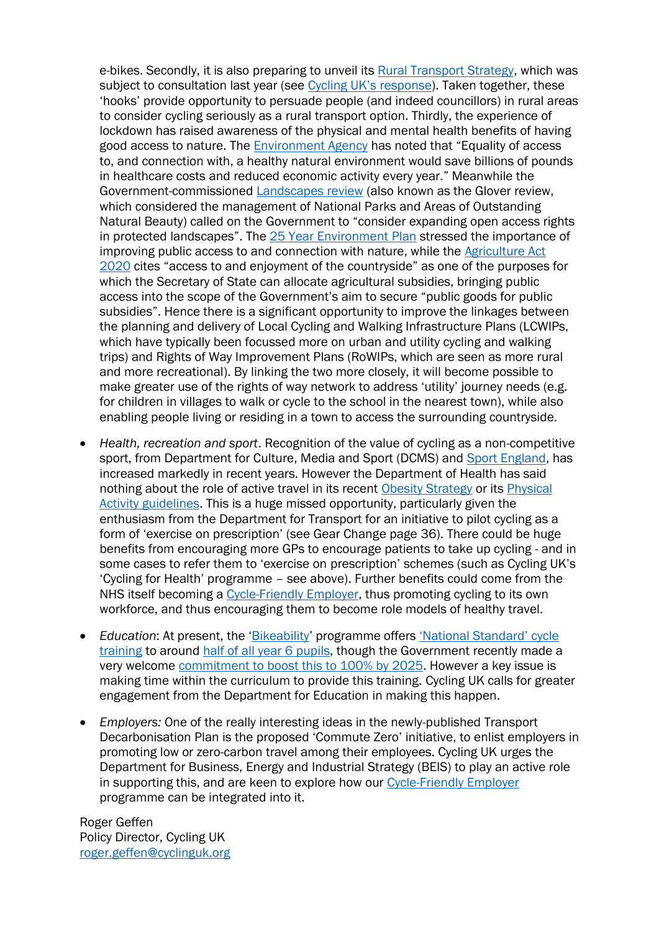e-bikes. Secondly, it is also preparing to unveil its [Rural Transport Strategy,](https://www.gov.uk/government/consultations/future-of-transport-rural-strategy-call-for-evidence) which was subject to consultation last year (see [Cycling UK's response](https://www.cyclinguk.org/blog/governments-innovative-rural-transport-plans-overlook-basics)). Taken together, these 'hooks' provide opportunity to persuade people (and indeed councillors) in rural areas to consider cycling seriously as a rural transport option. Thirdly, the experience of lockdown has raised awareness of the physical and mental health benefits of having good access to nature. The [Environment Agency](https://www.gov.uk/government/publications/state-of-the-environment/state-of-the-environment-health-people-and-the-environment) has noted that "Equality of access to, and connection with, a healthy natural environment would save billions of pounds in healthcare costs and reduced economic activity every year." Meanwhile the Government-commissioned [Landscapes review](https://www.gov.uk/government/publications/designated-landscapes-national-parks-and-aonbs-2018-review) (also known as the Glover review, which considered the management of National Parks and Areas of Outstanding Natural Beauty) called on the Government to "consider expanding open access rights in protected landscapes". The [25 Year Environment Plan](https://www.gov.uk/government/publications/25-year-environment-plan) stressed the importance of improving public access to and connection with nature, while the Agriculture Act [2020](https://www.legislation.gov.uk/ukpga/2020/21/section/1) cites "access to and enjoyment of the countryside" as one of the purposes for which the Secretary of State can allocate agricultural subsidies, bringing public access into the scope of the Government's aim to secure "public goods for public subsidies". Hence there is a significant opportunity to improve the linkages between the planning and delivery of Local Cycling and Walking Infrastructure Plans (LCWIPs, which have typically been focussed more on urban and utility cycling and walking trips) and Rights of Way Improvement Plans (RoWIPs, which are seen as more rural and more recreational). By linking the two more closely, it will become possible to make greater use of the rights of way network to address 'utility' journey needs (e.g. for children in villages to walk or cycle to the school in the nearest town), while also enabling people living or residing in a town to access the surrounding countryside.

- *Health, recreation and sport*. Recognition of the value of cycling as a non-competitive sport, from Department for Culture, Media and Sport (DCMS) and [Sport England,](https://www.sportengland.org/news/sport-england-triples-investment-in-tackling-inactivity) has increased markedly in recent years. However the Department of Health has said nothing about the role of active travel in its recent [Obesity Strategy](https://www.gov.uk/government/publications/tackling-obesity-government-strategy/tackling-obesity-empowering-adults-and-children-to-live-healthier-lives) or its [Physical](https://www.gov.uk/government/publications/physical-activity-applying-all-our-health/physical-activity-applying-all-our-health)  [Activity guidelines.](https://www.gov.uk/government/publications/physical-activity-applying-all-our-health/physical-activity-applying-all-our-health) This is a huge missed opportunity, particularly given the enthusiasm from the Department for Transport for an initiative to pilot cycling as a form of 'exercise on prescription' (see Gear Change page 36). There could be huge benefits from encouraging more GPs to encourage patients to take up cycling - and in some cases to refer them to 'exercise on prescription' schemes (such as Cycling UK's 'Cycling for Health' programme – see above). Further benefits could come from the NHS itself becoming a [Cycle-Friendly Employer,](https://www.cyclinguk.org/cycle-friendly-employer) thus promoting cycling to its own workforce, and thus encouraging them to become role models of healthy travel.
- *Education*: At present, the '[Bikeability](https://bikeability.org.uk/bikeability-training/)' programme offers ['National Standard' cycle](https://www.gov.uk/government/publications/national-standard-for-cycle-training)  [training](https://www.gov.uk/government/publications/national-standard-for-cycle-training) to around [half of all year 6 pupils,](https://bikeability.org.uk/cycle-more/further-information/additional-training/) though the Government recently made a very welcome commitment [to boost this to 100% by 2025.](https://www.gov.uk/government/news/18-million-announced-for-cycle-training-for-children-and-their-families) However a key issue is making time within the curriculum to provide this training. Cycling UK calls for greater engagement from the Department for Education in making this happen.
- *Employers:* One of the really interesting ideas in the newly-published Transport Decarbonisation Plan is the proposed 'Commute Zero' initiative, to enlist employers in promoting low or zero-carbon travel among their employees. Cycling UK urges the Department for Business, Energy and Industrial Strategy (BEIS) to play an active role in supporting this, and are keen to explore how our [Cycle-Friendly Employer](https://www.cyclinguk.org/cycle-friendly-employer) programme can be integrated into it.

Roger Geffen Policy Director, Cycling UK [roger.geffen@cyclinguk.org](mailto:roger.geffen@cyclinguk.org)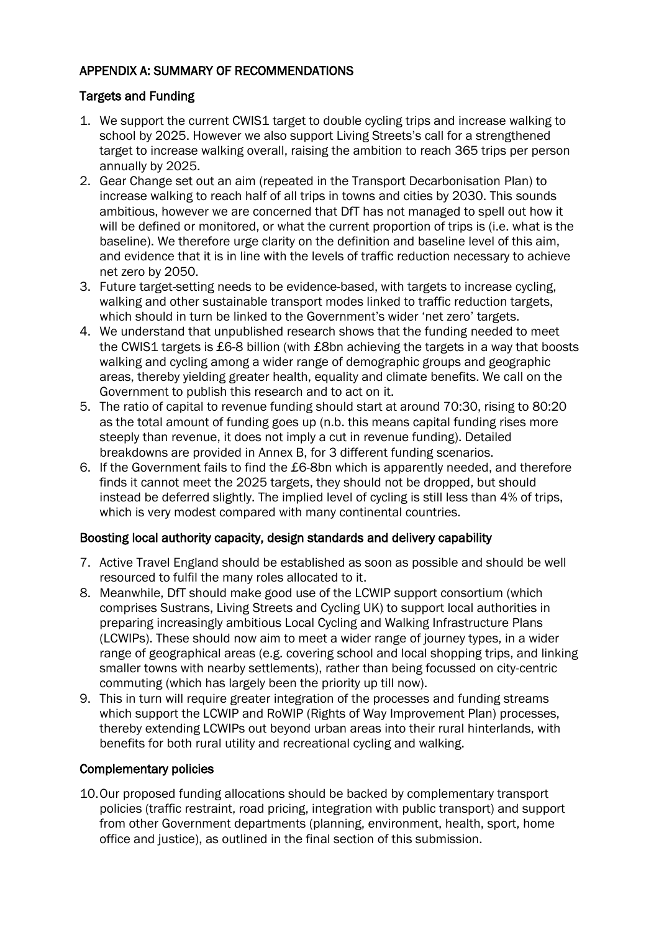## APPENDIX A: SUMMARY OF RECOMMENDATIONS

## Targets and Funding

- 1. We support the current CWIS1 target to double cycling trips and increase walking to school by 2025. However we also support Living Streets's call for a strengthened target to increase walking overall, raising the ambition to reach 365 trips per person annually by 2025.
- 2. Gear Change set out an aim (repeated in the Transport Decarbonisation Plan) to increase walking to reach half of all trips in towns and cities by 2030. This sounds ambitious, however we are concerned that DfT has not managed to spell out how it will be defined or monitored, or what the current proportion of trips is (i.e. what is the baseline). We therefore urge clarity on the definition and baseline level of this aim, and evidence that it is in line with the levels of traffic reduction necessary to achieve net zero by 2050.
- 3. Future target-setting needs to be evidence-based, with targets to increase cycling, walking and other sustainable transport modes linked to traffic reduction targets, which should in turn be linked to the Government's wider 'net zero' targets.
- 4. We understand that unpublished research shows that the funding needed to meet the CWIS1 targets is £6-8 billion (with £8bn achieving the targets in a way that boosts walking and cycling among a wider range of demographic groups and geographic areas, thereby yielding greater health, equality and climate benefits. We call on the Government to publish this research and to act on it.
- 5. The ratio of capital to revenue funding should start at around 70:30, rising to 80:20 as the total amount of funding goes up (n.b. this means capital funding rises more steeply than revenue, it does not imply a cut in revenue funding). Detailed breakdowns are provided in Annex B, for 3 different funding scenarios.
- 6. If the Government fails to find the £6-8bn which is apparently needed, and therefore finds it cannot meet the 2025 targets, they should not be dropped, but should instead be deferred slightly. The implied level of cycling is still less than 4% of trips, which is very modest compared with many continental countries.

## Boosting local authority capacity, design standards and delivery capability

- 7. Active Travel England should be established as soon as possible and should be well resourced to fulfil the many roles allocated to it.
- 8. Meanwhile, DfT should make good use of the LCWIP support consortium (which comprises Sustrans, Living Streets and Cycling UK) to support local authorities in preparing increasingly ambitious Local Cycling and Walking Infrastructure Plans (LCWIPs). These should now aim to meet a wider range of journey types, in a wider range of geographical areas (e.g. covering school and local shopping trips, and linking smaller towns with nearby settlements), rather than being focussed on city-centric commuting (which has largely been the priority up till now).
- 9. This in turn will require greater integration of the processes and funding streams which support the LCWIP and RoWIP (Rights of Way Improvement Plan) processes, thereby extending LCWIPs out beyond urban areas into their rural hinterlands, with benefits for both rural utility and recreational cycling and walking.

## Complementary policies

10.Our proposed funding allocations should be backed by complementary transport policies (traffic restraint, road pricing, integration with public transport) and support from other Government departments (planning, environment, health, sport, home office and justice), as outlined in the final section of this submission.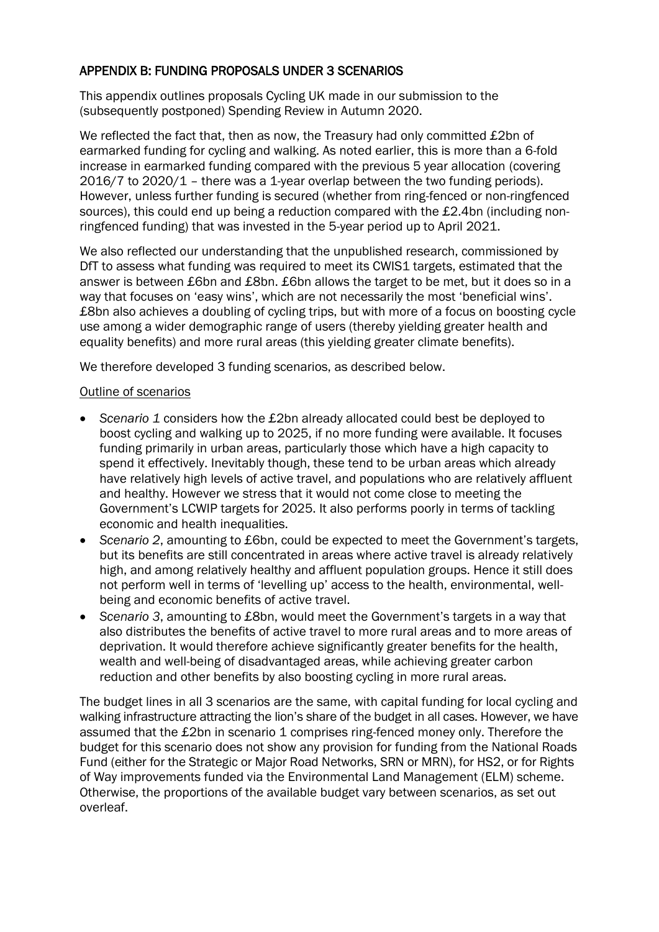## APPENDIX B: FUNDING PROPOSALS UNDER 3 SCENARIOS

This appendix outlines proposals Cycling UK made in our submission to the (subsequently postponed) Spending Review in Autumn 2020.

We reflected the fact that, then as now, the Treasury had only committed £2bn of earmarked funding for cycling and walking. As noted earlier, this is more than a 6-fold increase in earmarked funding compared with the previous 5 year allocation (covering 2016/7 to 2020/1 – there was a 1-year overlap between the two funding periods). However, unless further funding is secured (whether from ring-fenced or non-ringfenced sources), this could end up being a reduction compared with the £2.4bn (including nonringfenced funding) that was invested in the 5-year period up to April 2021.

We also reflected our understanding that the unpublished research, commissioned by DfT to assess what funding was required to meet its CWIS1 targets, estimated that the answer is between £6bn and £8bn. £6bn allows the target to be met, but it does so in a way that focuses on 'easy wins', which are not necessarily the most 'beneficial wins'. £8bn also achieves a doubling of cycling trips, but with more of a focus on boosting cycle use among a wider demographic range of users (thereby yielding greater health and equality benefits) and more rural areas (this yielding greater climate benefits).

We therefore developed 3 funding scenarios, as described below.

#### Outline of scenarios

- *Scenario 1* considers how the £2bn already allocated could best be deployed to boost cycling and walking up to 2025, if no more funding were available. It focuses funding primarily in urban areas, particularly those which have a high capacity to spend it effectively. Inevitably though, these tend to be urban areas which already have relatively high levels of active travel, and populations who are relatively affluent and healthy. However we stress that it would not come close to meeting the Government's LCWIP targets for 2025. It also performs poorly in terms of tackling economic and health inequalities.
- *Scenario 2*, amounting to £6bn, could be expected to meet the Government's targets, but its benefits are still concentrated in areas where active travel is already relatively high, and among relatively healthy and affluent population groups. Hence it still does not perform well in terms of 'levelling up' access to the health, environmental, wellbeing and economic benefits of active travel.
- *Scenario 3*, amounting to £8bn, would meet the Government's targets in a way that also distributes the benefits of active travel to more rural areas and to more areas of deprivation. It would therefore achieve significantly greater benefits for the health, wealth and well-being of disadvantaged areas, while achieving greater carbon reduction and other benefits by also boosting cycling in more rural areas.

The budget lines in all 3 scenarios are the same, with capital funding for local cycling and walking infrastructure attracting the lion's share of the budget in all cases. However, we have assumed that the £2bn in scenario 1 comprises ring-fenced money only. Therefore the budget for this scenario does not show any provision for funding from the National Roads Fund (either for the Strategic or Major Road Networks, SRN or MRN), for HS2, or for Rights of Way improvements funded via the Environmental Land Management (ELM) scheme. Otherwise, the proportions of the available budget vary between scenarios, as set out overleaf.